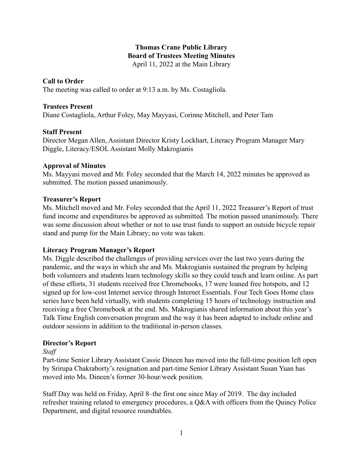## **Thomas Crane Public Library Board of Trustees Meeting Minutes** April 11, 2022 at the Main Library

#### **Call to Order**

The meeting was called to order at 9:13 a.m. by Ms. Costagliola.

### **Trustees Present**

Diane Costagliola, Arthur Foley, May Mayyasi, Corinne Mitchell, and Peter Tam

### **Staff Present**

Director Megan Allen, Assistant Director Kristy Lockhart, Literacy Program Manager Mary Diggle, Literacy/ESOL Assistant Molly Makrogianis

### **Approval of Minutes**

Ms. Mayyasi moved and Mr. Foley seconded that the March 14, 2022 minutes be approved as submitted. The motion passed unanimously.

### **Treasurer's Report**

Ms. Mitchell moved and Mr. Foley seconded that the April 11, 2022 Treasurer's Report of trust fund income and expenditures be approved as submitted. The motion passed unanimously. There was some discussion about whether or not to use trust funds to support an outside bicycle repair stand and pump for the Main Library; no vote was taken.

#### **Literacy Program Manager's Report**

Ms. Diggle described the challenges of providing services over the last two years during the pandemic, and the ways in which she and Ms. Makrogianis sustained the program by helping both volunteers and students learn technology skills so they could teach and learn online. As part of these efforts, 31 students received free Chromebooks, 17 were loaned free hotspots, and 12 signed up for low-cost Internet service through Internet Essentials. Four Tech Goes Home class series have been held virtually, with students completing 15 hours of technology instruction and receiving a free Chromebook at the end. Ms. Makrogianis shared information about this year's Talk Time English conversation program and the way it has been adapted to include online and outdoor sessions in addition to the traditional in-person classes.

# **Director's Report**

*Staff*

Part-time Senior Library Assistant Cassie Dineen has moved into the full-time position left open by Srirupa Chakraborty's resignation and part-time Senior Library Assistant Susan Yuan has moved into Ms. Dineen's former 30-hour/week position.

Staff Day was held on Friday, April 8–the first one since May of 2019. The day included refresher training related to emergency procedures, a Q&A with officers from the Quincy Police Department, and digital resource roundtables.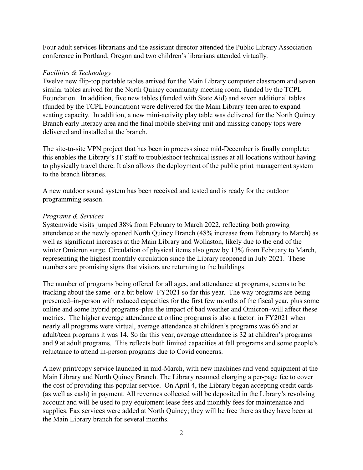Four adult services librarians and the assistant director attended the Public Library Association conference in Portland, Oregon and two children's librarians attended virtually.

### *Facilities & Technology*

Twelve new flip-top portable tables arrived for the Main Library computer classroom and seven similar tables arrived for the North Quincy community meeting room, funded by the TCPL Foundation. In addition, five new tables (funded with State Aid) and seven additional tables (funded by the TCPL Foundation) were delivered for the Main Library teen area to expand seating capacity. In addition, a new mini-activity play table was delivered for the North Quincy Branch early literacy area and the final mobile shelving unit and missing canopy tops were delivered and installed at the branch.

The site-to-site VPN project that has been in process since mid-December is finally complete; this enables the Library's IT staff to troubleshoot technical issues at all locations without having to physically travel there. It also allows the deployment of the public print management system to the branch libraries.

A new outdoor sound system has been received and tested and is ready for the outdoor programming season.

#### *Programs & Services*

Systemwide visits jumped 38% from February to March 2022, reflecting both growing attendance at the newly opened North Quincy Branch (48% increase from February to March) as well as significant increases at the Main Library and Wollaston, likely due to the end of the winter Omicron surge. Circulation of physical items also grew by 13% from February to March, representing the highest monthly circulation since the Library reopened in July 2021. These numbers are promising signs that visitors are returning to the buildings.

The number of programs being offered for all ages, and attendance at programs, seems to be tracking about the same–or a bit below–FY2021 so far this year. The way programs are being presented–in-person with reduced capacities for the first few months of the fiscal year, plus some online and some hybrid programs–plus the impact of bad weather and Omicron–will affect these metrics. The higher average attendance at online programs is also a factor: in FY2021 when nearly all programs were virtual, average attendance at children's programs was 66 and at adult/teen programs it was 14. So far this year, average attendance is 32 at children's programs and 9 at adult programs. This reflects both limited capacities at fall programs and some people's reluctance to attend in-person programs due to Covid concerns.

A new print/copy service launched in mid-March, with new machines and vend equipment at the Main Library and North Quincy Branch. The Library resumed charging a per-page fee to cover the cost of providing this popular service. On April 4, the Library began accepting credit cards (as well as cash) in payment. All revenues collected will be deposited in the Library's revolving account and will be used to pay equipment lease fees and monthly fees for maintenance and supplies. Fax services were added at North Quincy; they will be free there as they have been at the Main Library branch for several months.